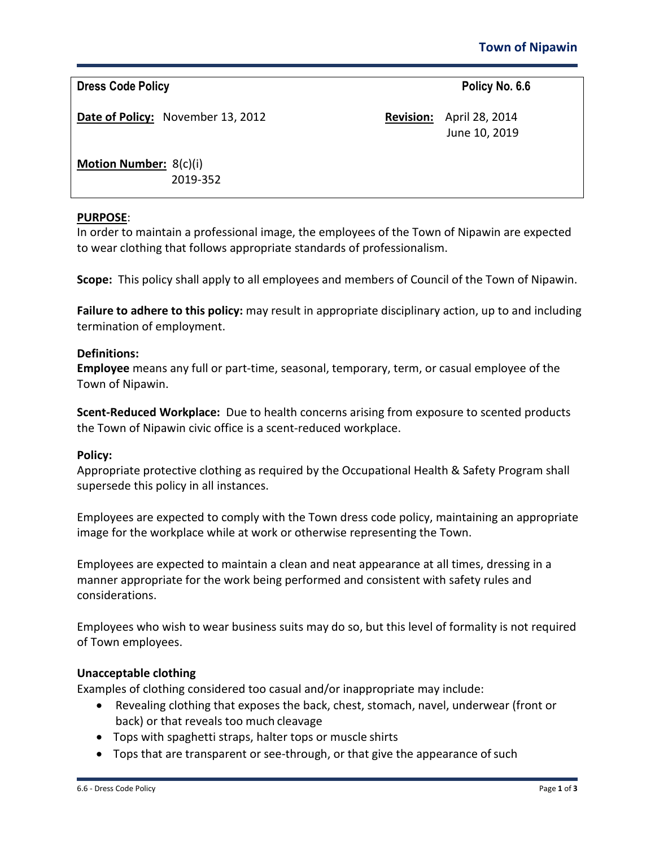**Dress Code Policy Policy Policy Policy Policy Policy Policy Policy Policy Policy Policy Policy Policy Policy Policy Policy Policy Policy Policy Policy Policy Policy Policy Pol** 

**Date of Policy:** November 13, 2012 **Revision:** April 28, 2014

June 10, 2019

**Motion Number:** 8(c)(i) 2019-352

# **PURPOSE**:

In order to maintain a professional image, the employees of the Town of Nipawin are expected to wear clothing that follows appropriate standards of professionalism.

**Scope:** This policy shall apply to all employees and members of Council of the Town of Nipawin.

**Failure to adhere to this policy:** may result in appropriate disciplinary action, up to and including termination of employment.

## **Definitions:**

**Employee** means any full or part-time, seasonal, temporary, term, or casual employee of the Town of Nipawin.

**Scent-Reduced Workplace:** Due to health concerns arising from exposure to scented products the Town of Nipawin civic office is a scent-reduced workplace.

## **Policy:**

Appropriate protective clothing as required by the Occupational Health & Safety Program shall supersede this policy in all instances.

Employees are expected to comply with the Town dress code policy, maintaining an appropriate image for the workplace while at work or otherwise representing the Town.

Employees are expected to maintain a clean and neat appearance at all times, dressing in a manner appropriate for the work being performed and consistent with safety rules and considerations.

Employees who wish to wear business suits may do so, but this level of formality is not required of Town employees.

## **Unacceptable clothing**

Examples of clothing considered too casual and/or inappropriate may include:

- Revealing clothing that exposes the back, chest, stomach, navel, underwear (front or back) or that reveals too much cleavage
- Tops with spaghetti straps, halter tops or muscle shirts
- Tops that are transparent or see-through, or that give the appearance of such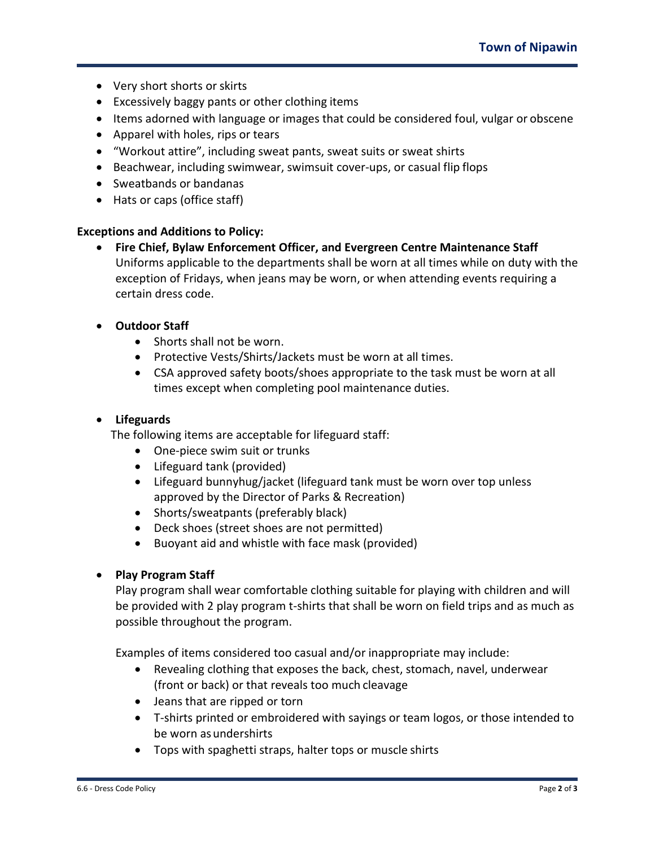- Very short shorts or skirts
- Excessively baggy pants or other clothing items
- Items adorned with language or images that could be considered foul, vulgar or obscene
- Apparel with holes, rips or tears
- "Workout attire", including sweat pants, sweat suits or sweat shirts
- Beachwear, including swimwear, swimsuit cover-ups, or casual flip flops
- Sweatbands or bandanas
- Hats or caps (office staff)

#### **Exceptions and Additions to Policy:**

• **Fire Chief, Bylaw Enforcement Officer, and Evergreen Centre Maintenance Staff** Uniforms applicable to the departments shall be worn at all times while on duty with the exception of Fridays, when jeans may be worn, or when attending events requiring a certain dress code.

## • **Outdoor Staff**

- Shorts shall not be worn.
- Protective Vests/Shirts/Jackets must be worn at all times.
- CSA approved safety boots/shoes appropriate to the task must be worn at all times except when completing pool maintenance duties.

### • **Lifeguards**

The following items are acceptable for lifeguard staff:

- One-piece swim suit or trunks
- Lifeguard tank (provided)
- Lifeguard bunnyhug/jacket (lifeguard tank must be worn over top unless approved by the Director of Parks & Recreation)
- Shorts/sweatpants (preferably black)
- Deck shoes (street shoes are not permitted)
- Buoyant aid and whistle with face mask (provided)

## • **Play Program Staff**

Play program shall wear comfortable clothing suitable for playing with children and will be provided with 2 play program t-shirts that shall be worn on field trips and as much as possible throughout the program.

Examples of items considered too casual and/or inappropriate may include:

- Revealing clothing that exposes the back, chest, stomach, navel, underwear (front or back) or that reveals too much cleavage
- Jeans that are ripped or torn
- T-shirts printed or embroidered with sayings or team logos, or those intended to be worn asundershirts
- Tops with spaghetti straps, halter tops or muscle shirts